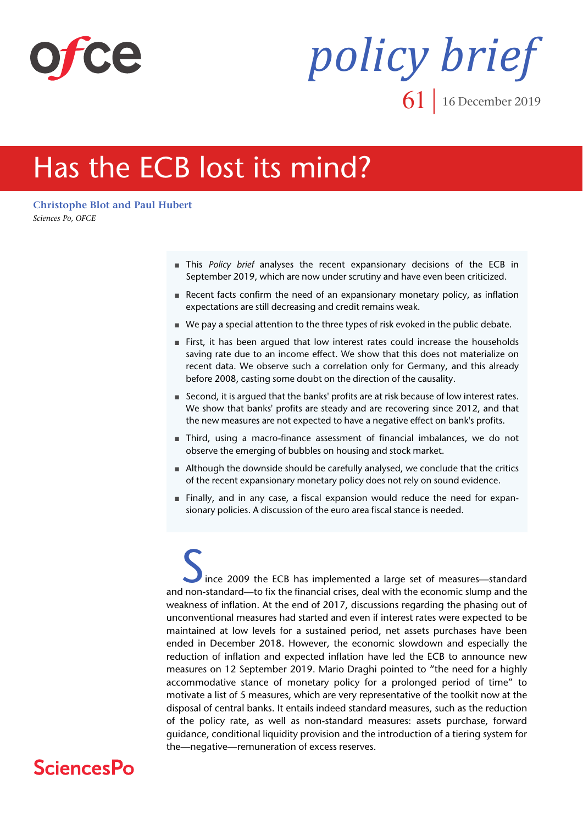

# *policy brief* **61** 16 December 2019

# Has the ECB lost its mind?

**[Christophe Blot and](https://www.ofce.sciences-po.fr/pages-chercheurs/page.php?id=5) [Paul Hubert](https://www.ofce.sciences-po.fr/pages-chercheurs/page.php?id=16)** *Sciences Po, OFCE*

- This *Policy brief* analyses the recent expansionary decisions of the ECB in September 2019, which are now under scrutiny and have even been criticized.
- Recent facts confirm the need of an expansionary monetary policy, as inflation expectations are still decreasing and credit remains weak.
- We pay a special attention to the three types of risk evoked in the public debate.
- First, it has been argued that low interest rates could increase the households saving rate due to an income effect. We show that this does not materialize on recent data. We observe such a correlation only for Germany, and this already before 2008, casting some doubt on the direction of the causality.
- Second, it is argued that the banks' profits are at risk because of low interest rates. We show that banks' profits are steady and are recovering since 2012, and that the new measures are not expected to have a negative effect on bank's profits.
- Third, using a macro-finance assessment of financial imbalances, we do not observe the emerging of bubbles on housing and stock market.
- Although the downside should be carefully analysed, we conclude that the critics of the recent expansionary monetary policy does not rely on sound evidence.
- Finally, and in any case, a fiscal expansion would reduce the need for expansionary policies. A discussion of the euro area fiscal stance is needed.

ince 2009 the ECB has implemented a large set of measures—standard and non-standard—to fix the financial crises, deal with the economic slump and the weakness of inflation. At the end of 2017, discussions regarding the phasing out of unconventional measures had started and even if interest rates were expected to be maintained at low levels for a sustained period, net assets purchases have been ended in December 2018. However, the economic slowdown and especially the reduction of inflation and expected inflation have led the ECB to announce new measures on 12 September 2019. Mario Draghi pointed to "the need for a highly accommodative stance of monetary policy for a prolonged period of time" to motivate a list of 5 measures, which are very representative of the toolkit now at the disposal of central banks. It entails indeed standard measures, such as the reduction of the policy rate, as well as non-standard measures: assets purchase, forward guidance, conditional liquidity provision and the introduction of a tiering system for the—negative—remuneration of excess reserves.

# **SciencesPo**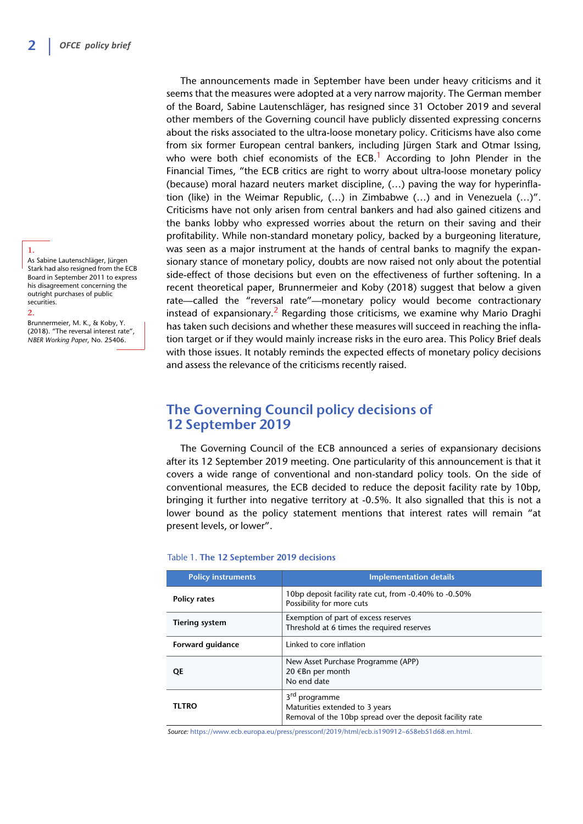### **1.**

As Sabine Lautenschläger, Jürgen Stark had also resigned from the ECB Board in September 2011 to express his disagreement concerning the outright purchases of public securities.

#### **2.**

Brunnermeier, M. K., & Koby, Y. (2018). "The reversal interest rate", *NBER Working Paper*, No. 25406.

The announcements made in September have been under heavy criticisms and it seems that the measures were adopted at a very narrow majority. The German member of the Board, Sabine Lautenschläger, has resigned since 31 October 2019 and several other members of the Governing council have publicly dissented expressing concerns about the risks associated to the ultra-loose monetary policy. Criticisms have also come from six former European central bankers, including Jürgen Stark and Otmar Issing, who were both chief economists of the ECB.<sup>1</sup> According to John Plender in the Financial Times, "the ECB critics are right to worry about ultra-loose monetary policy (because) moral hazard neuters market discipline, (…) paving the way for hyperinflation (like) in the Weimar Republic, (…) in Zimbabwe (…) and in Venezuela (…)". Criticisms have not only arisen from central bankers and had also gained citizens and the banks lobby who expressed worries about the return on their saving and their profitability. While non-standard monetary policy, backed by a burgeoning literature, was seen as a major instrument at the hands of central banks to magnify the expansionary stance of monetary policy, doubts are now raised not only about the potential side-effect of those decisions but even on the effectiveness of further softening. In a recent theoretical paper, Brunnermeier and Koby (2018) suggest that below a given rate—called the "reversal rate"—monetary policy would become contractionary instead of expansionary.<sup>2</sup> Regarding those criticisms, we examine why Mario Draghi has taken such decisions and whether these measures will succeed in reaching the inflation target or if they would mainly increase risks in the euro area. This Policy Brief deals with those issues. It notably reminds the expected effects of monetary policy decisions and assess the relevance of the criticisms recently raised.

### **The Governing Council policy decisions of 12 September 2019**

The Governing Council of the ECB announced a series of expansionary decisions after its 12 September 2019 meeting. One particularity of this announcement is that it covers a wide range of conventional and non-standard policy tools. On the side of conventional measures, the ECB decided to reduce the deposit facility rate by 10bp, bringing it further into negative territory at -0.5%. It also signalled that this is not a lower bound as the policy statement mentions that interest rates will remain "at present levels, or lower".

| <b>Policy instruments</b> | <b>Implementation details</b>                                                                                            |
|---------------------------|--------------------------------------------------------------------------------------------------------------------------|
| <b>Policy rates</b>       | 10bp deposit facility rate cut, from -0.40% to -0.50%<br>Possibility for more cuts                                       |
| <b>Tiering system</b>     | Exemption of part of excess reserves<br>Threshold at 6 times the required reserves                                       |
| Forward quidance          | Linked to core inflation                                                                                                 |
| QE                        | New Asset Purchase Programme (APP)<br>20 €Bn per month<br>No end date                                                    |
| <b>TLTRO</b>              | 3 <sup>rd</sup> programme<br>Maturities extended to 3 years<br>Removal of the 10bp spread over the deposit facility rate |

#### Table 1. **The 12 September 2019 decisions**

*Source:* https://www.ecb.europa.eu/press/pressconf/2019/html/ecb.is190912~658eb51d68.en.html.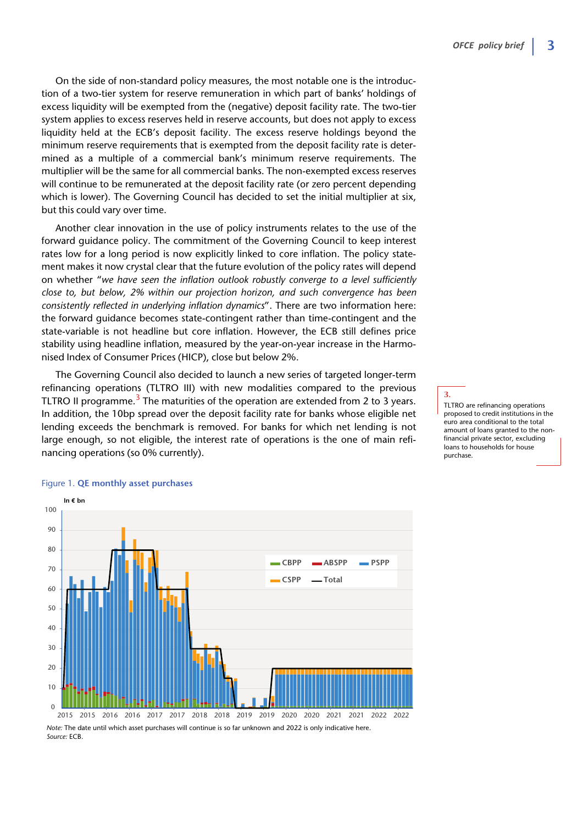On the side of non-standard policy measures, the most notable one is the introduction of a two-tier system for reserve remuneration in which part of banks' holdings of excess liquidity will be exempted from the (negative) deposit facility rate. The two-tier system applies to excess reserves held in reserve accounts, but does not apply to excess liquidity held at the ECB's deposit facility. The excess reserve holdings beyond the minimum reserve requirements that is exempted from the deposit facility rate is determined as a multiple of a commercial bank's minimum reserve requirements. The multiplier will be the same for all commercial banks. The non-exempted excess reserves will continue to be remunerated at the deposit facility rate (or zero percent depending which is lower). The Governing Council has decided to set the initial multiplier at six, but this could vary over time.

Another clear innovation in the use of policy instruments relates to the use of the forward guidance policy. The commitment of the Governing Council to keep interest rates low for a long period is now explicitly linked to core inflation. The policy statement makes it now crystal clear that the future evolution of the policy rates will depend on whether "*we have seen the inflation outlook robustly converge to a level sufficiently close to, but below, 2% within our projection horizon, and such convergence has been consistently reflected in underlying inflation dynamics*". There are two information here: the forward guidance becomes state-contingent rather than time-contingent and the state-variable is not headline but core inflation. However, the ECB still defines price stability using headline inflation, measured by the year-on-year increase in the Harmonised Index of Consumer Prices (HICP), close but below 2%.

The Governing Council also decided to launch a new series of targeted longer-term refinancing operations (TLTRO III) with new modalities compared to the previous TLTRO II programme.<sup>3</sup> The maturities of the operation are extended from 2 to 3 years. In addition, the 10bp spread over the deposit facility rate for banks whose eligible net lending exceeds the benchmark is removed. For banks for which net lending is not large enough, so not eligible, the interest rate of operations is the one of main refinancing operations (so 0% currently).

**3.** TLTRO are refinancing operations proposed to credit institutions in the euro area conditional to the total amount of loans granted to the nonfinancial private sector, excluding loans to households for house purchase.



### Figure 1. **QE monthly asset purchases**

*Note:* The date until which asset purchases will continue is so far unknown and 2022 is only indicative here. *Source:* ECB.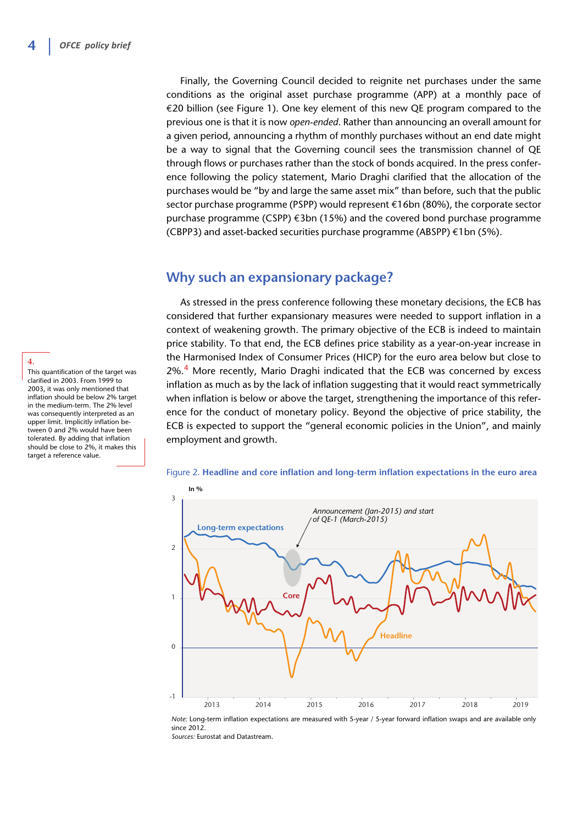Finally, the Governing Council decided to reignite net purchases under the same conditions as the original asset purchase programme (APP) at a monthly pace of €20 billion (see Figure 1). One key element of this new QE program compared to the previous one is that it is now *open-ended*. Rather than announcing an overall amount for a given period, announcing a rhythm of monthly purchases without an end date might be a way to signal that the Governing council sees the transmission channel of QE through flows or purchases rather than the stock of bonds acquired. In the press conference following the policy statement, Mario Draghi clarified that the allocation of the purchases would be "by and large the same asset mix" than before, such that the public sector purchase programme (PSPP) would represent €16bn (80%), the corporate sector purchase programme (CSPP) €3bn (15%) and the covered bond purchase programme (CBPP3) and asset-backed securities purchase programme (ABSPP) €1bn (5%).

### **Why such an expansionary package?**

As stressed in the press conference following these monetary decisions, the ECB has considered that further expansionary measures were needed to support inflation in a context of weakening growth. The primary objective of the ECB is indeed to maintain price stability. To that end, the ECB defines price stability as a year-on-year increase in the Harmonised Index of Consumer Prices (HICP) for the euro area below but close to  $2\%$ .<sup>4</sup> More recently, Mario Draghi indicated that the ECB was concerned by excess inflation as much as by the lack of inflation suggesting that it would react symmetrically when inflation is below or above the target, strengthening the importance of this reference for the conduct of monetary policy. Beyond the objective of price stability, the ECB is expected to support the "general economic policies in the Union", and mainly employment and growth.





*Note:* Long-term inflation expectations are measured with 5-year / 5-year forward inflation swaps and are available only since 2012 *Sources:* Eurostat and Datastream.

**4.** This quantification of the target was clarified in 2003. From 1999 to 2003, it was only mentioned that inflation should be below 2% target in the medium-term. The 2% level was consequently interpreted as an upper limit. Implicitly inflation between 0 and 2% would have been tolerated. By adding that inflation should be close to 2%, it makes this target a reference value.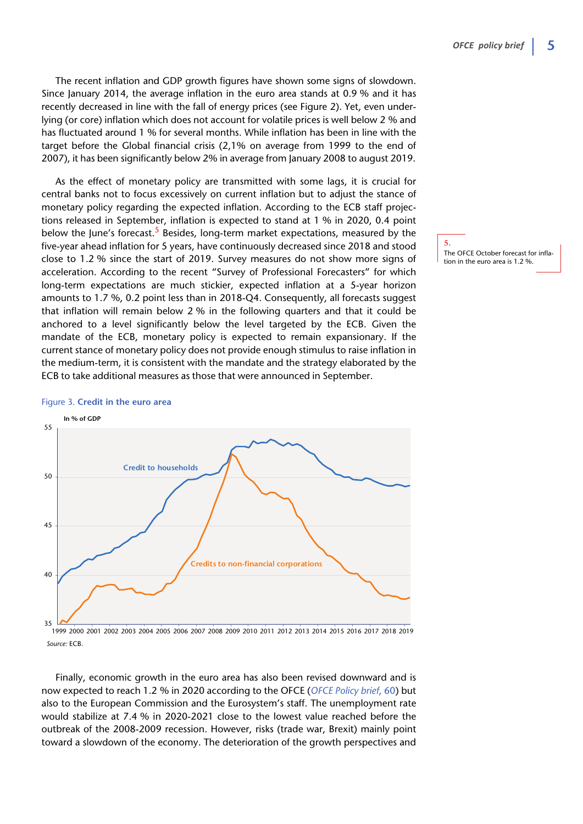The recent inflation and GDP growth figures have shown some signs of slowdown. Since January 2014, the average inflation in the euro area stands at 0.9 % and it has recently decreased in line with the fall of energy prices (see Figure 2). Yet, even underlying (or core) inflation which does not account for volatile prices is well below 2 % and has fluctuated around 1 % for several months. While inflation has been in line with the target before the Global financial crisis (2,1% on average from 1999 to the end of 2007), it has been significantly below 2% in average from January 2008 to august 2019.

As the effect of monetary policy are transmitted with some lags, it is crucial for central banks not to focus excessively on current inflation but to adjust the stance of monetary policy regarding the expected inflation. According to the ECB staff projections released in September, inflation is expected to stand at 1 % in 2020, 0.4 point below the June's forecast.<sup>5</sup> Besides, long-term market expectations, measured by the five-year ahead inflation for 5 years, have continuously decreased since 2018 and stood close to 1.2 % since the start of 2019. Survey measures do not show more signs of acceleration. According to the recent "Survey of Professional Forecasters" for which long-term expectations are much stickier, expected inflation at a 5-year horizon amounts to 1.7 %, 0.2 point less than in 2018-Q4. Consequently, all forecasts suggest that inflation will remain below 2 % in the following quarters and that it could be anchored to a level significantly below the level targeted by the ECB. Given the mandate of the ECB, monetary policy is expected to remain expansionary. If the current stance of monetary policy does not provide enough stimulus to raise inflation in the medium-term, it is consistent with the mandate and the strategy elaborated by the ECB to take additional measures as those that were announced in September.

# **In % of GDP** 35 40 45 50 55 **Credit to households Credits to non-financial corporations**

Figure 3. **Credit in the euro area**

*Source:* ECB. 1999 2000 2001 2002 2003 2004 2005 2006 2007 2008 2009 2010 2011 2012 2013 2014 2015 2016 2017 2018 2019

Finally, economic growth in the euro area has also been revised downward and is now expected to reach 1.2 % in 2020 according to the OFCE (*[OFCE Policy brief](https://www.ofce.sciences-po.fr/pdf/pbrief/2019/OFCEpbrief60.pdf)*, 60) but also to the European Commission and the Eurosystem's staff. The unemployment rate would stabilize at 7.4 % in 2020-2021 close to the lowest value reached before the outbreak of the 2008-2009 recession. However, risks (trade war, Brexit) mainly point toward a slowdown of the economy. The deterioration of the growth perspectives and

**5.** The OFCE October forecast for inflation in the euro area is 1.2 %.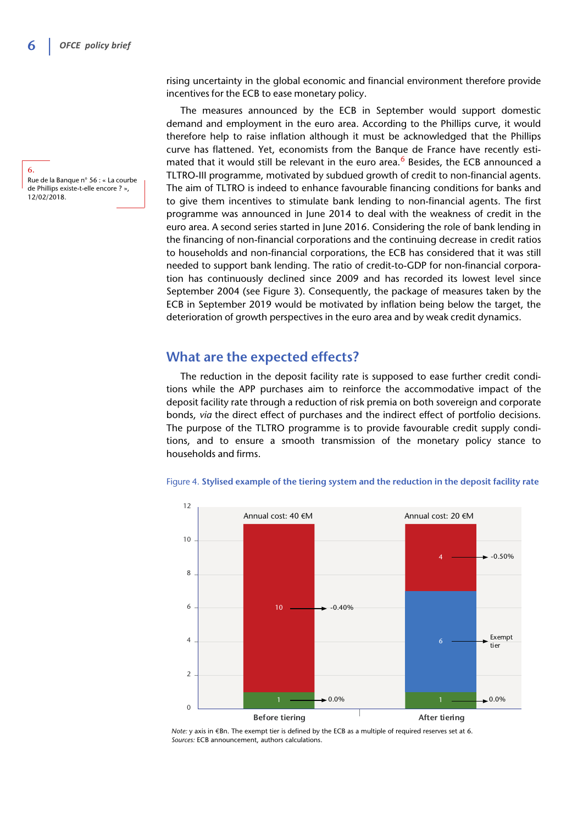**6.** Rue de la Banque n° 56 : « La courbe de Phillips existe-t-elle encore ? », 12/02/2018.

rising uncertainty in the global economic and financial environment therefore provide incentives for the ECB to ease monetary policy.

The measures announced by the ECB in September would support domestic demand and employment in the euro area. According to the Phillips curve, it would therefore help to raise inflation although it must be acknowledged that the Phillips curve has flattened. Yet, economists from the Banque de France have recently estimated that it would still be relevant in the euro area.<sup>6</sup> Besides, the ECB announced a TLTRO-III programme, motivated by subdued growth of credit to non-financial agents. The aim of TLTRO is indeed to enhance favourable financing conditions for banks and to give them incentives to stimulate bank lending to non-financial agents. The first programme was announced in June 2014 to deal with the weakness of credit in the euro area. A second series started in June 2016. Considering the role of bank lending in the financing of non-financial corporations and the continuing decrease in credit ratios to households and non-financial corporations, the ECB has considered that it was still needed to support bank lending. The ratio of credit-to-GDP for non-financial corporation has continuously declined since 2009 and has recorded its lowest level since September 2004 (see Figure 3). Consequently, the package of measures taken by the ECB in September 2019 would be motivated by inflation being below the target, the deterioration of growth perspectives in the euro area and by weak credit dynamics.

### **What are the expected effects?**

The reduction in the deposit facility rate is supposed to ease further credit conditions while the APP purchases aim to reinforce the accommodative impact of the deposit facility rate through a reduction of risk premia on both sovereign and corporate bonds, *via* the direct effect of purchases and the indirect effect of portfolio decisions. The purpose of the TLTRO programme is to provide favourable credit supply conditions, and to ensure a smooth transmission of the monetary policy stance to households and firms.



### Figure 4. **Stylised example of the tiering system and the reduction in the deposit facility rate**

*Note:* y axis in €Bn. The exempt tier is defined by the ECB as a multiple of required reserves set at 6. *Sources:* ECB announcement, authors calculations.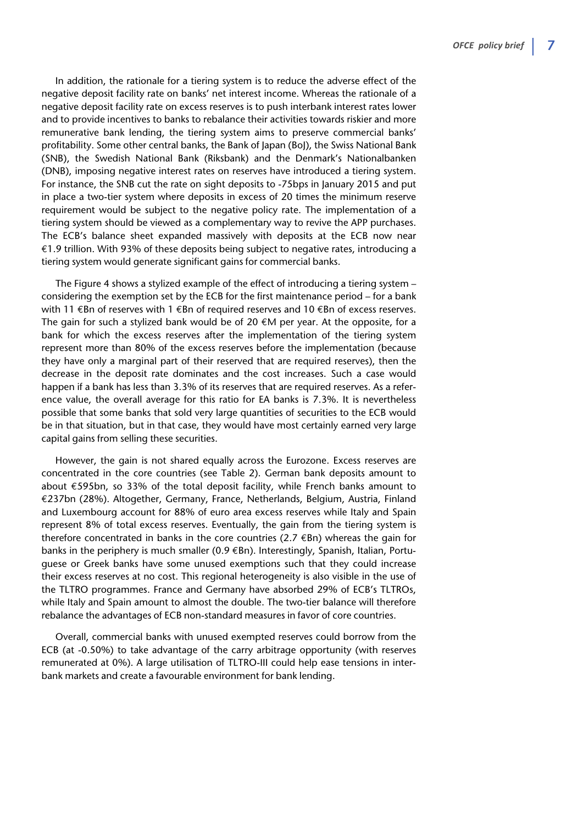In addition, the rationale for a tiering system is to reduce the adverse effect of the negative deposit facility rate on banks' net interest income. Whereas the rationale of a negative deposit facility rate on excess reserves is to push interbank interest rates lower and to provide incentives to banks to rebalance their activities towards riskier and more remunerative bank lending, the tiering system aims to preserve commercial banks' profitability. Some other central banks, the Bank of Japan (BoJ), the Swiss National Bank (SNB), the Swedish National Bank (Riksbank) and the Denmark's Nationalbanken (DNB), imposing negative interest rates on reserves have introduced a tiering system. For instance, the SNB cut the rate on sight deposits to -75bps in January 2015 and put in place a two-tier system where deposits in excess of 20 times the minimum reserve requirement would be subject to the negative policy rate. The implementation of a tiering system should be viewed as a complementary way to revive the APP purchases. The ECB's balance sheet expanded massively with deposits at the ECB now near €1.9 trillion. With 93% of these deposits being subject to negative rates, introducing a tiering system would generate significant gains for commercial banks.

The Figure 4 shows a stylized example of the effect of introducing a tiering system – considering the exemption set by the ECB for the first maintenance period – for a bank with 11 €Bn of reserves with 1 €Bn of required reserves and 10 €Bn of excess reserves. The gain for such a stylized bank would be of 20  $\epsilon$ M per year. At the opposite, for a bank for which the excess reserves after the implementation of the tiering system represent more than 80% of the excess reserves before the implementation (because they have only a marginal part of their reserved that are required reserves), then the decrease in the deposit rate dominates and the cost increases. Such a case would happen if a bank has less than 3.3% of its reserves that are required reserves. As a reference value, the overall average for this ratio for EA banks is 7.3%. It is nevertheless possible that some banks that sold very large quantities of securities to the ECB would be in that situation, but in that case, they would have most certainly earned very large capital gains from selling these securities.

However, the gain is not shared equally across the Eurozone. Excess reserves are concentrated in the core countries (see Table 2). German bank deposits amount to about €595bn, so 33% of the total deposit facility, while French banks amount to €237bn (28%). Altogether, Germany, France, Netherlands, Belgium, Austria, Finland and Luxembourg account for 88% of euro area excess reserves while Italy and Spain represent 8% of total excess reserves. Eventually, the gain from the tiering system is therefore concentrated in banks in the core countries (2.7  $\epsilon$ Bn) whereas the gain for banks in the periphery is much smaller (0.9 €Bn). Interestingly, Spanish, Italian, Portuguese or Greek banks have some unused exemptions such that they could increase their excess reserves at no cost. This regional heterogeneity is also visible in the use of the TLTRO programmes. France and Germany have absorbed 29% of ECB's TLTROs, while Italy and Spain amount to almost the double. The two-tier balance will therefore rebalance the advantages of ECB non-standard measures in favor of core countries.

Overall, commercial banks with unused exempted reserves could borrow from the ECB (at -0.50%) to take advantage of the carry arbitrage opportunity (with reserves remunerated at 0%). A large utilisation of TLTRO-III could help ease tensions in interbank markets and create a favourable environment for bank lending.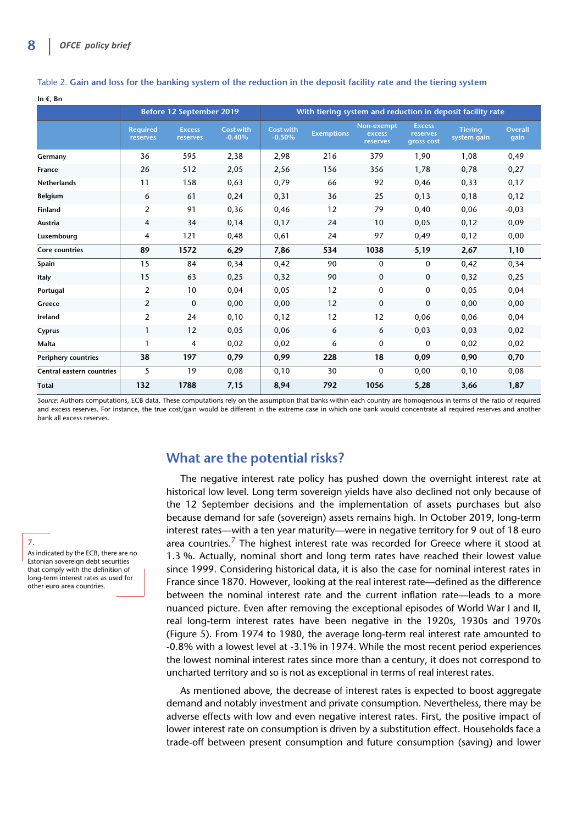**In €, Bn**

|                            | <b>Before 12 September 2019</b> |                           |                              | With tiering system and reduction in deposit facility rate |                   |                                  |                                         |                               |                        |
|----------------------------|---------------------------------|---------------------------|------------------------------|------------------------------------------------------------|-------------------|----------------------------------|-----------------------------------------|-------------------------------|------------------------|
|                            | <b>Required</b><br>reserves     | <b>Excess</b><br>reserves | <b>Cost with</b><br>$-0.40%$ | <b>Cost with</b><br>$-0.50%$                               | <b>Exemptions</b> | Non-exempt<br>excess<br>reserves | <b>Excess</b><br>reserves<br>gross cost | <b>Tiering</b><br>system gain | <b>Overall</b><br>qain |
| Germany                    | 36                              | 595                       | 2,38                         | 2,98                                                       | 216               | 379                              | 1,90                                    | 1,08                          | 0,49                   |
| France                     | 26                              | 512                       | 2,05                         | 2,56                                                       | 156               | 356                              | 1,78                                    | 0,78                          | 0,27                   |
| Netherlands                | 11                              | 158                       | 0,63                         | 0,79                                                       | 66                | 92                               | 0,46                                    | 0,33                          | 0,17                   |
| Belgium                    | 6                               | 61                        | 0,24                         | 0,31                                                       | 36                | 25                               | 0,13                                    | 0,18                          | 0,12                   |
| Finland                    | 2                               | 91                        | 0,36                         | 0,46                                                       | 12                | 79                               | 0,40                                    | 0,06                          | $-0,03$                |
| Austria                    | 4                               | 34                        | 0,14                         | 0,17                                                       | 24                | 10                               | 0,05                                    | 0,12                          | 0,09                   |
| Luxembourg                 | 4                               | 121                       | 0,48                         | 0,61                                                       | 24                | 97                               | 0,49                                    | 0,12                          | 0,00                   |
| <b>Core countries</b>      | 89                              | 1572                      | 6,29                         | 7,86                                                       | 534               | 1038                             | 5,19                                    | 2,67                          | 1,10                   |
| Spain                      | 15                              | 84                        | 0,34                         | 0,42                                                       | 90                | $\Omega$                         | 0                                       | 0,42                          | 0,34                   |
| Italy                      | 15                              | 63                        | 0,25                         | 0,32                                                       | 90                | 0                                | $\mathbf 0$                             | 0,32                          | 0,25                   |
| Portugal                   | 2                               | 10                        | 0,04                         | 0,05                                                       | 12                | 0                                | 0                                       | 0,05                          | 0,04                   |
| Greece                     | 2                               | $\mathbf 0$               | 0,00                         | 0,00                                                       | 12                | 0                                | 0                                       | 0,00                          | 0,00                   |
| Ireland                    | 2                               | 24                        | 0,10                         | 0,12                                                       | 12                | 12                               | 0,06                                    | 0,06                          | 0,04                   |
| Cyprus                     | 1                               | 12                        | 0,05                         | 0,06                                                       | 6                 | 6                                | 0,03                                    | 0,03                          | 0,02                   |
| Malta                      | 1                               | 4                         | 0,02                         | 0,02                                                       | 6                 | 0                                | 0                                       | 0,02                          | 0,02                   |
| <b>Periphery countries</b> | 38                              | 197                       | 0,79                         | 0,99                                                       | 228               | 18                               | 0,09                                    | 0,90                          | 0,70                   |
| Central eastern countries  | 5                               | 19                        | 0,08                         | 0,10                                                       | 30                | $\mathbf{0}$                     | 0,00                                    | 0,10                          | 0,08                   |
| <b>Total</b>               | 132                             | 1788                      | 7,15                         | 8,94                                                       | 792               | 1056                             | 5,28                                    | 3,66                          | 1,87                   |

Table 2. **Gain and loss for the banking system of the reduction in the deposit facility rate and the tiering system**

*Source:* Authors computations, ECB data. These computations rely on the assumption that banks within each country are homogenous in terms of the ratio of required and excess reserves. For instance, the true cost/gain would be different in the extreme case in which one bank would concentrate all required reserves and another bank all excess reserves.

## **What are the potential risks?**

The negative interest rate policy has pushed down the overnight interest rate at historical low level. Long term sovereign yields have also declined not only because of the 12 September decisions and the implementation of assets purchases but also because demand for safe (sovereign) assets remains high. In October 2019, long-term interest rates—with a ten year maturity—were in negative territory for 9 out of 18 euro area countries.<sup>7</sup> The highest interest rate was recorded for Greece where it stood at 1.3 %. Actually, nominal short and long term rates have reached their lowest value since 1999. Considering historical data, it is also the case for nominal interest rates in France since 1870. However, looking at the real interest rate—defined as the difference between the nominal interest rate and the current inflation rate—leads to a more nuanced picture. Even after removing the exceptional episodes of World War I and II, real long-term interest rates have been negative in the 1920s, 1930s and 1970s (Figure 5). From 1974 to 1980, the average long-term real interest rate amounted to -0.8% with a lowest level at -3.1% in 1974. While the most recent period experiences the lowest nominal interest rates since more than a century, it does not correspond to uncharted territory and so is not as exceptional in terms of real interest rates.

As mentioned above, the decrease of interest rates is expected to boost aggregate demand and notably investment and private consumption. Nevertheless, there may be adverse effects with low and even negative interest rates. First, the positive impact of lower interest rate on consumption is driven by a substitution effect. Households face a trade-off between present consumption and future consumption (saving) and lower

As indicated by the ECB, there are no Estonian sovereign debt securities that comply with the definition of long-term interest rates as used for other euro area countries.

**7.**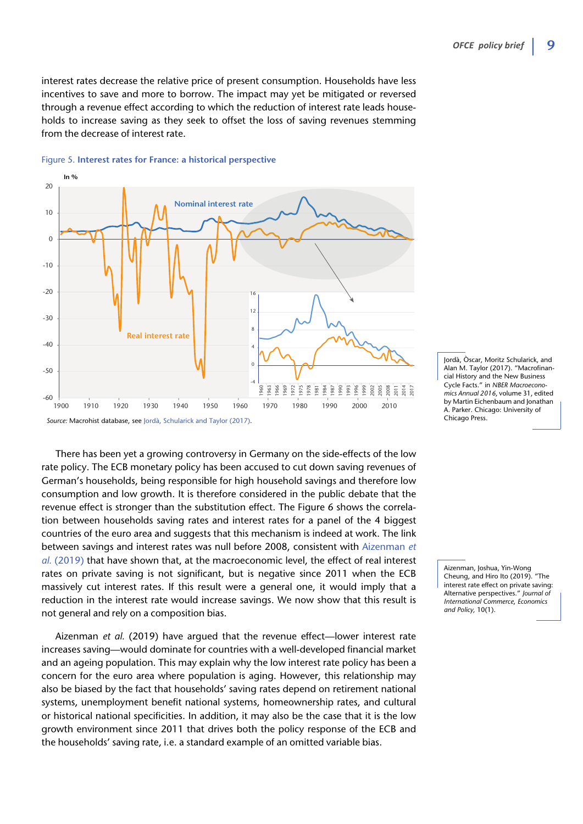interest rates decrease the relative price of present consumption. Households have less incentives to save and more to borrow. The impact may yet be mitigated or reversed through a revenue effect according to which the reduction of interest rate leads households to increase saving as they seek to offset the loss of saving revenues stemming from the decrease of interest rate.

![](_page_8_Figure_2.jpeg)

### Figure 5. **Interest rates for France: a historical perspective**

There has been yet a growing controversy in Germany on the side-effects of the low rate policy. The ECB monetary policy has been accused to cut down saving revenues of German's households, being responsible for high household savings and therefore low consumption and low growth. It is therefore considered in the public debate that the revenue effect is stronger than the substitution effect. The Figure 6 shows the correlation between households saving rates and interest rates for a panel of the 4 biggest countries of the euro area and suggests that this mechanism is indeed at work. The link between savings and interest rates was null before 2008, consistent with Aizenman *et al.* (2019) that have shown that, at the macroeconomic level, the effect of real interest rates on private saving is not significant, but is negative since 2011 when the ECB massively cut interest rates. If this result were a general one, it would imply that a reduction in the interest rate would increase savings. We now show that this result is not general and rely on a composition bias.

Aizenman *et al.* (2019) have argued that the revenue effect—lower interest rate increases saving—would dominate for countries with a well-developed financial market and an ageing population. This may explain why the low interest rate policy has been a concern for the euro area where population is aging. However, this relationship may also be biased by the fact that households' saving rates depend on retirement national systems, unemployment benefit national systems, homeownership rates, and cultural or historical national specificities. In addition, it may also be the case that it is the low growth environment since 2011 that drives both the policy response of the ECB and the households' saving rate, i.e. a standard example of an omitted variable bias.

Jordà, Òscar, Moritz Schularick, and Alan M. Taylor (2017). "Macrofinancial History and the New Business Cycle Facts." in *NBER Macroeconomics Annual 2016*, volume 31, edited by Martin Eichenbaum and Jonathan A. Parker. Chicago: University of Chicago Press.

Aizenman, Joshua, Yin-Wong Cheung, and Hiro Ito (2019). "The interest rate effect on private saving: Alternative perspectives." *Journal of International Commerce*, *Economics and Policy,* 10(1).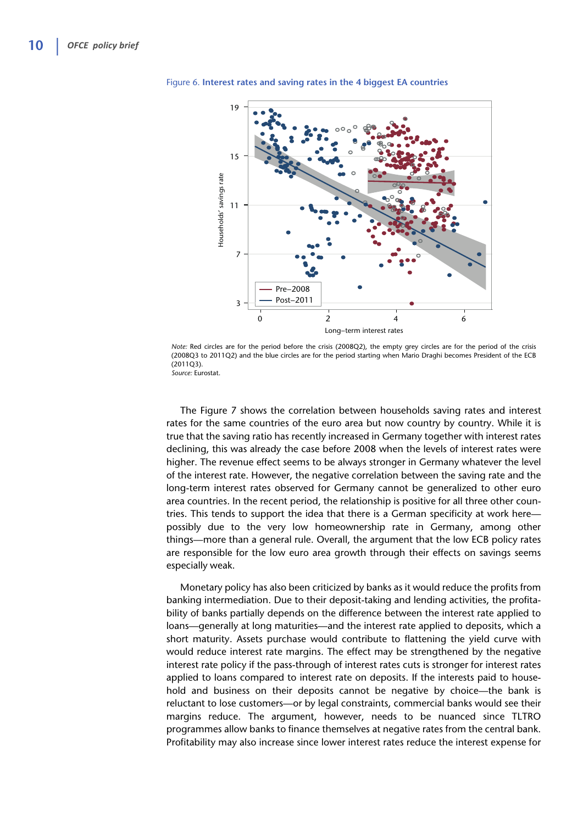![](_page_9_Figure_1.jpeg)

Figure 6. **Interest rates and saving rates in the 4 biggest EA countries** 

*Note:* Red circles are for the period before the crisis (2008Q2), the empty grey circles are for the period of the crisis (2008Q3 to 2011Q2) and the blue circles are for the period starting when Mario Draghi becomes President of the ECB (2011Q3). *Source:* Eurostat.

The Figure 7 shows the correlation between households saving rates and interest rates for the same countries of the euro area but now country by country. While it is true that the saving ratio has recently increased in Germany together with interest rates declining, this was already the case before 2008 when the levels of interest rates were higher. The revenue effect seems to be always stronger in Germany whatever the level of the interest rate. However, the negative correlation between the saving rate and the long-term interest rates observed for Germany cannot be generalized to other euro area countries. In the recent period, the relationship is positive for all three other countries. This tends to support the idea that there is a German specificity at work here possibly due to the very low homeownership rate in Germany, among other things—more than a general rule. Overall, the argument that the low ECB policy rates are responsible for the low euro area growth through their effects on savings seems especially weak.

Monetary policy has also been criticized by banks as it would reduce the profits from banking intermediation. Due to their deposit-taking and lending activities, the profitability of banks partially depends on the difference between the interest rate applied to loans—generally at long maturities—and the interest rate applied to deposits, which a short maturity. Assets purchase would contribute to flattening the yield curve with would reduce interest rate margins. The effect may be strengthened by the negative interest rate policy if the pass-through of interest rates cuts is stronger for interest rates applied to loans compared to interest rate on deposits. If the interests paid to household and business on their deposits cannot be negative by choice—the bank is reluctant to lose customers—or by legal constraints, commercial banks would see their margins reduce. The argument, however, needs to be nuanced since TLTRO programmes allow banks to finance themselves at negative rates from the central bank. Profitability may also increase since lower interest rates reduce the interest expense for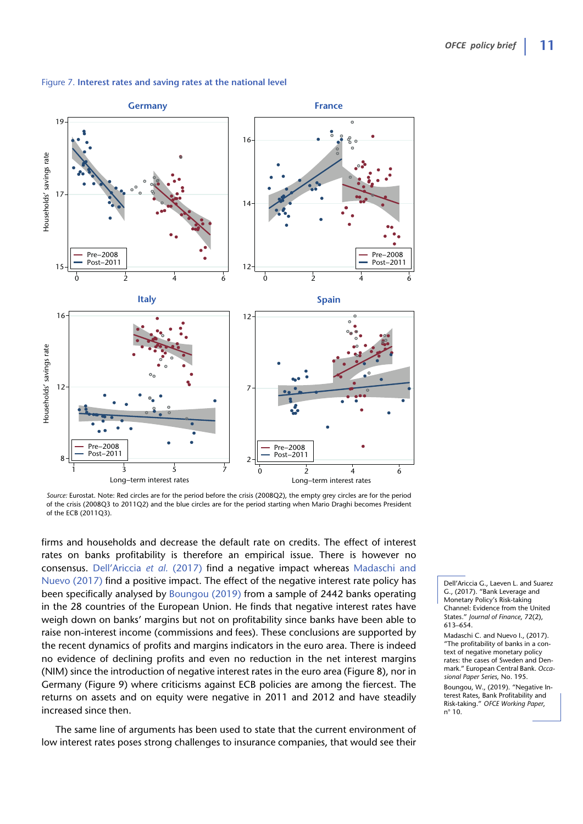![](_page_10_Figure_1.jpeg)

### Figure 7. **Interest rates and saving rates at the national level**

*Source:* Eurostat. Note: Red circles are for the period before the crisis (2008Q2), the empty grey circles are for the period of the crisis (2008Q3 to 2011Q2) and the blue circles are for the period starting when Mario Draghi becomes President of the ECB (2011Q3).

firms and households and decrease the default rate on credits. The effect of interest rates on banks profitability is therefore an empirical issue. There is however no consensus. Dell'Ariccia *et al.* (2017) find a negative impact whereas Madaschi and Nuevo (2017) find a positive impact. The effect of the negative interest rate policy has been specifically analysed by Boungou (2019) from a sample of 2442 banks operating in the 28 countries of the European Union. He finds that negative interest rates have weigh down on banks' margins but not on profitability since banks have been able to raise non-interest income (commissions and fees). These conclusions are supported by the recent dynamics of profits and margins indicators in the euro area. There is indeed no evidence of declining profits and even no reduction in the net interest margins (NIM) since the introduction of negative interest rates in the euro area (Figure 8), nor in Germany (Figure 9) where criticisms against ECB policies are among the fiercest. The returns on assets and on equity were negative in 2011 and 2012 and have steadily increased since then.

The same line of arguments has been used to state that the current environment of low interest rates poses strong challenges to insurance companies, that would see their

Dell'Ariccia G., Laeven L. and Suarez G., (2017). "Bank Leverage and Monetary Policy's Risk-taking Channel: Evidence from the United States." *Journal of Finance*, 72(2), 613–654.

Madaschi C. and Nuevo I., (2017). "The profitability of banks in a context of negative monetary policy rates: the cases of Sweden and Denmark." European Central Bank. *Occasional Paper Series*, No. 195. Boungou, W., (2019). "Negative Interest Rates, Bank Profitability and Risk-taking." *OFCE Working Paper*, n° 10.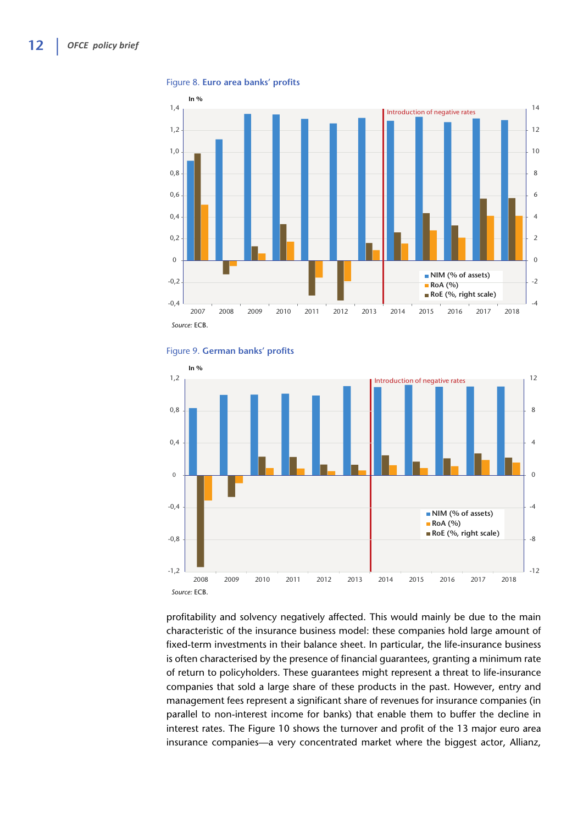**In %** *Source:* ECB. -4 -2  $\Omega$ 2 4 6 8 10 12 14 -0,4 -0,2  $\Omega$ 0,2 0,4 0,6 0,8 1,0 1,2 1,4 2007 2008 2009 2010 2011 2012 2013 2014 2015 2016 2017 2018 **NIM (% of assets) RoA (%) RoE (%, right scale)** Introduction of negative rates

### Figure 8. **Euro area banks' profits**

![](_page_11_Figure_3.jpeg)

![](_page_11_Figure_4.jpeg)

profitability and solvency negatively affected. This would mainly be due to the main characteristic of the insurance business model: these companies hold large amount of fixed-term investments in their balance sheet. In particular, the life-insurance business is often characterised by the presence of financial guarantees, granting a minimum rate of return to policyholders. These guarantees might represent a threat to life-insurance companies that sold a large share of these products in the past. However, entry and management fees represent a significant share of revenues for insurance companies (in parallel to non-interest income for banks) that enable them to buffer the decline in interest rates. The Figure 10 shows the turnover and profit of the 13 major euro area insurance companies—a very concentrated market where the biggest actor, Allianz,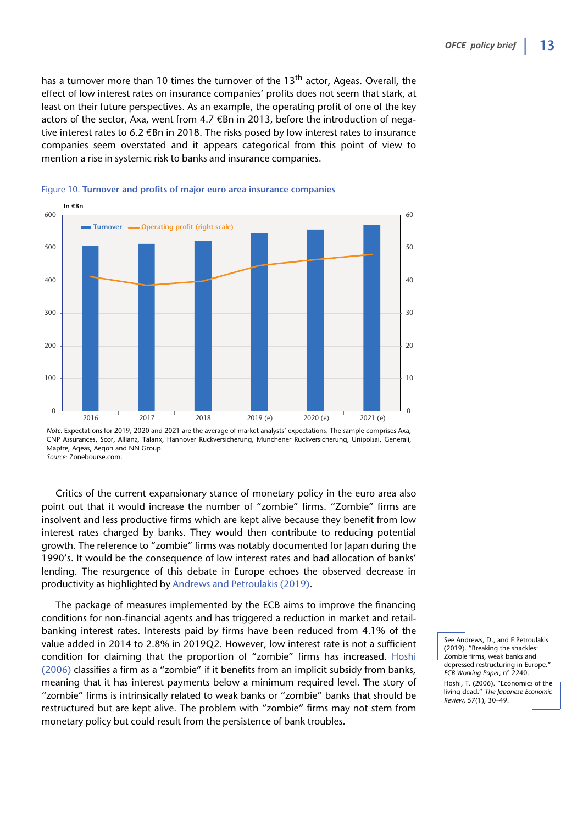has a turnover more than 10 times the turnover of the 13<sup>th</sup> actor, Ageas. Overall, the effect of low interest rates on insurance companies' profits does not seem that stark, at least on their future perspectives. As an example, the operating profit of one of the key actors of the sector, Axa, went from 4.7  $\epsilon$ Bn in 2013, before the introduction of negative interest rates to 6.2  $\epsilon$ Bn in 2018. The risks posed by low interest rates to insurance companies seem overstated and it appears categorical from this point of view to mention a rise in systemic risk to banks and insurance companies.

![](_page_12_Figure_2.jpeg)

![](_page_12_Figure_3.jpeg)

*Note:* Expectations for 2019, 2020 and 2021 are the average of market analysts' expectations. The sample comprises Axa, CNP Assurances, Scor, Allianz, Talanx, Hannover Ruckversicherung, Munchener Ruckversicherung, Unipolsai, Generali, Mapfre, Ageas, Aegon and NN Group. *Source:* Zonebourse.com.

Critics of the current expansionary stance of monetary policy in the euro area also point out that it would increase the number of "zombie" firms. "Zombie" firms are insolvent and less productive firms which are kept alive because they benefit from low interest rates charged by banks. They would then contribute to reducing potential growth. The reference to "zombie" firms was notably documented for Japan during the 1990's. It would be the consequence of low interest rates and bad allocation of banks' lending. The resurgence of this debate in Europe echoes the observed decrease in productivity as highlighted by Andrews and Petroulakis (2019).

The package of measures implemented by the ECB aims to improve the financing conditions for non-financial agents and has triggered a reduction in market and retailbanking interest rates. Interests paid by firms have been reduced from 4.1% of the value added in 2014 to 2.8% in 2019Q2. However, low interest rate is not a sufficient condition for claiming that the proportion of "zombie" firms has increased. Hoshi (2006) classifies a firm as a "zombie" if it benefits from an implicit subsidy from banks, meaning that it has interest payments below a minimum required level. The story of "zombie" firms is intrinsically related to weak banks or "zombie" banks that should be restructured but are kept alive. The problem with "zombie" firms may not stem from monetary policy but could result from the persistence of bank troubles.

See Andrews, D., and F.Petroulakis (2019). "Breaking the shackles: Zombie firms, weak banks and depressed restructuring in Europe." *ECB Working Paper*, n° 2240. Hoshi, T. (2006). "Economics of the living dead." *The Japanese Economic Review*, 57(1), 30–49.